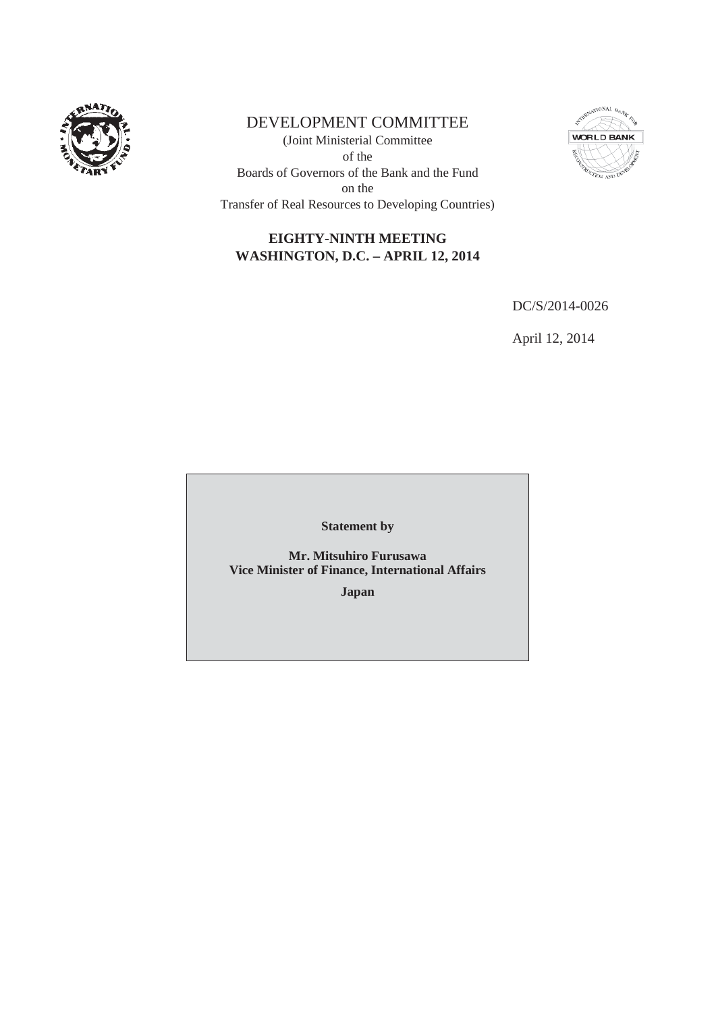

# DEVELOPMENT COMMITTEE

(Joint Ministerial Committee of the Boards of Governors of the Bank and the Fund on the Transfer of Real Resources to Developing Countries)



# **EIGHTY-NINTH MEETING WASHINGTON, D.C. – APRIL 12, 2014**

DC/S/2014-0026

April 12, 2014

**Statement by**

**Mr. Mitsuhiro Furusawa Vice Minister of Finance, International Affairs**

**Japan**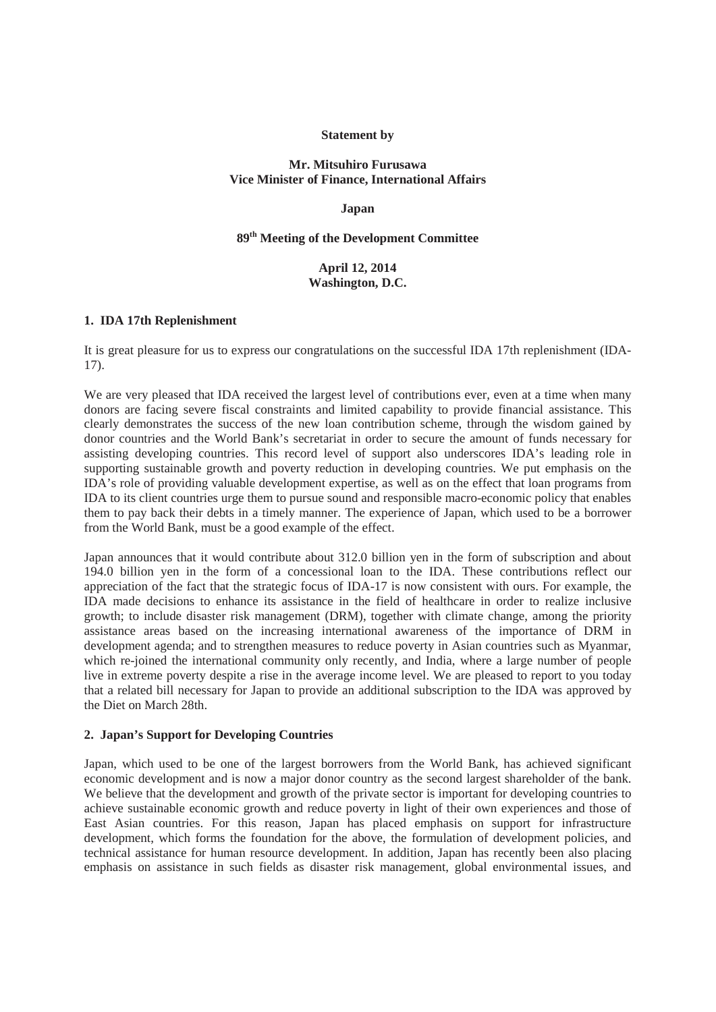#### **Statement by**

# **Mr. Mitsuhiro Furusawa Vice Minister of Finance, International Affairs**

#### **Japan**

## **89th Meeting of the Development Committee**

# **April 12, 2014 Washington, D.C.**

#### **1. IDA 17th Replenishment**

It is great pleasure for us to express our congratulations on the successful IDA 17th replenishment (IDA-17).

We are very pleased that IDA received the largest level of contributions ever, even at a time when many donors are facing severe fiscal constraints and limited capability to provide financial assistance. This clearly demonstrates the success of the new loan contribution scheme, through the wisdom gained by donor countries and the World Bank's secretariat in order to secure the amount of funds necessary for assisting developing countries. This record level of support also underscores IDA's leading role in supporting sustainable growth and poverty reduction in developing countries. We put emphasis on the IDA's role of providing valuable development expertise, as well as on the effect that loan programs from IDA to its client countries urge them to pursue sound and responsible macro-economic policy that enables them to pay back their debts in a timely manner. The experience of Japan, which used to be a borrower from the World Bank, must be a good example of the effect.

Japan announces that it would contribute about 312.0 billion yen in the form of subscription and about 194.0 billion yen in the form of a concessional loan to the IDA. These contributions reflect our appreciation of the fact that the strategic focus of IDA-17 is now consistent with ours. For example, the IDA made decisions to enhance its assistance in the field of healthcare in order to realize inclusive growth; to include disaster risk management (DRM), together with climate change, among the priority assistance areas based on the increasing international awareness of the importance of DRM in development agenda; and to strengthen measures to reduce poverty in Asian countries such as Myanmar, which re-joined the international community only recently, and India, where a large number of people live in extreme poverty despite a rise in the average income level. We are pleased to report to you today that a related bill necessary for Japan to provide an additional subscription to the IDA was approved by the Diet on March 28th.

# **2. Japan's Support for Developing Countries**

Japan, which used to be one of the largest borrowers from the World Bank, has achieved significant economic development and is now a major donor country as the second largest shareholder of the bank. We believe that the development and growth of the private sector is important for developing countries to achieve sustainable economic growth and reduce poverty in light of their own experiences and those of East Asian countries. For this reason, Japan has placed emphasis on support for infrastructure development, which forms the foundation for the above, the formulation of development policies, and technical assistance for human resource development. In addition, Japan has recently been also placing emphasis on assistance in such fields as disaster risk management, global environmental issues, and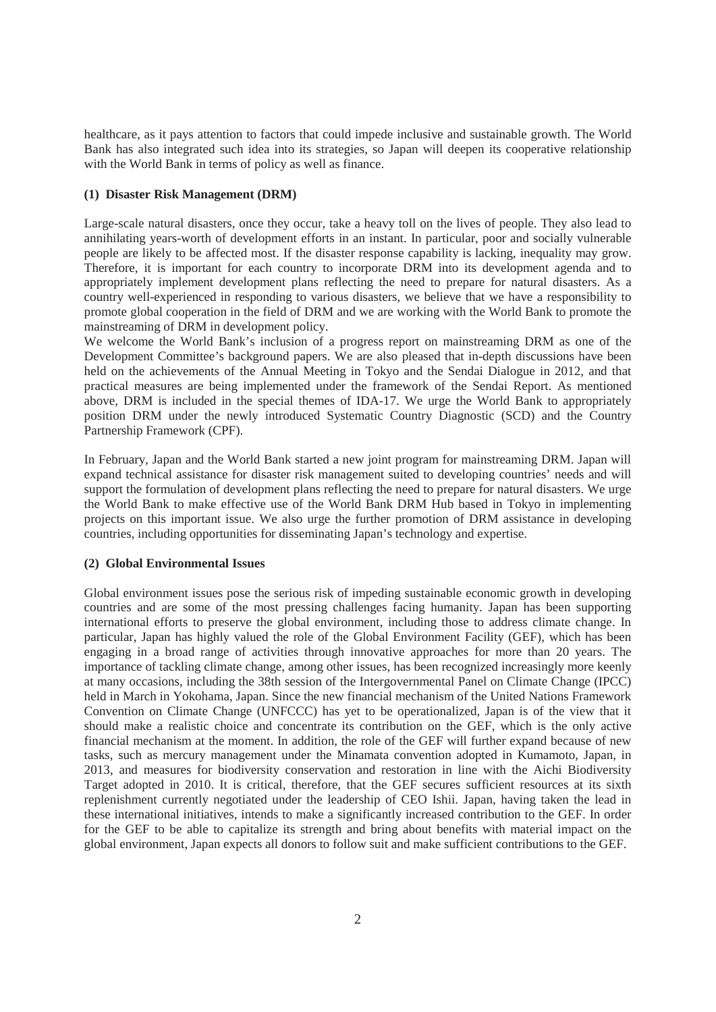healthcare, as it pays attention to factors that could impede inclusive and sustainable growth. The World Bank has also integrated such idea into its strategies, so Japan will deepen its cooperative relationship with the World Bank in terms of policy as well as finance.

## **(1) Disaster Risk Management (DRM)**

Large-scale natural disasters, once they occur, take a heavy toll on the lives of people. They also lead to annihilating years-worth of development efforts in an instant. In particular, poor and socially vulnerable people are likely to be affected most. If the disaster response capability is lacking, inequality may grow. Therefore, it is important for each country to incorporate DRM into its development agenda and to appropriately implement development plans reflecting the need to prepare for natural disasters. As a country well-experienced in responding to various disasters, we believe that we have a responsibility to promote global cooperation in the field of DRM and we are working with the World Bank to promote the mainstreaming of DRM in development policy.

We welcome the World Bank's inclusion of a progress report on mainstreaming DRM as one of the Development Committee's background papers. We are also pleased that in-depth discussions have been held on the achievements of the Annual Meeting in Tokyo and the Sendai Dialogue in 2012, and that practical measures are being implemented under the framework of the Sendai Report. As mentioned above, DRM is included in the special themes of IDA-17. We urge the World Bank to appropriately position DRM under the newly introduced Systematic Country Diagnostic (SCD) and the Country Partnership Framework (CPF).

In February, Japan and the World Bank started a new joint program for mainstreaming DRM. Japan will expand technical assistance for disaster risk management suited to developing countries' needs and will support the formulation of development plans reflecting the need to prepare for natural disasters. We urge the World Bank to make effective use of the World Bank DRM Hub based in Tokyo in implementing projects on this important issue. We also urge the further promotion of DRM assistance in developing countries, including opportunities for disseminating Japan's technology and expertise.

#### **(2) Global Environmental Issues**

Global environment issues pose the serious risk of impeding sustainable economic growth in developing countries and are some of the most pressing challenges facing humanity. Japan has been supporting international efforts to preserve the global environment, including those to address climate change. In particular, Japan has highly valued the role of the Global Environment Facility (GEF), which has been engaging in a broad range of activities through innovative approaches for more than 20 years. The importance of tackling climate change, among other issues, has been recognized increasingly more keenly at many occasions, including the 38th session of the Intergovernmental Panel on Climate Change (IPCC) held in March in Yokohama, Japan. Since the new financial mechanism of the United Nations Framework Convention on Climate Change (UNFCCC) has yet to be operationalized, Japan is of the view that it should make a realistic choice and concentrate its contribution on the GEF, which is the only active financial mechanism at the moment. In addition, the role of the GEF will further expand because of new tasks, such as mercury management under the Minamata convention adopted in Kumamoto, Japan, in 2013, and measures for biodiversity conservation and restoration in line with the Aichi Biodiversity Target adopted in 2010. It is critical, therefore, that the GEF secures sufficient resources at its sixth replenishment currently negotiated under the leadership of CEO Ishii. Japan, having taken the lead in these international initiatives, intends to make a significantly increased contribution to the GEF. In order for the GEF to be able to capitalize its strength and bring about benefits with material impact on the global environment, Japan expects all donors to follow suit and make sufficient contributions to the GEF.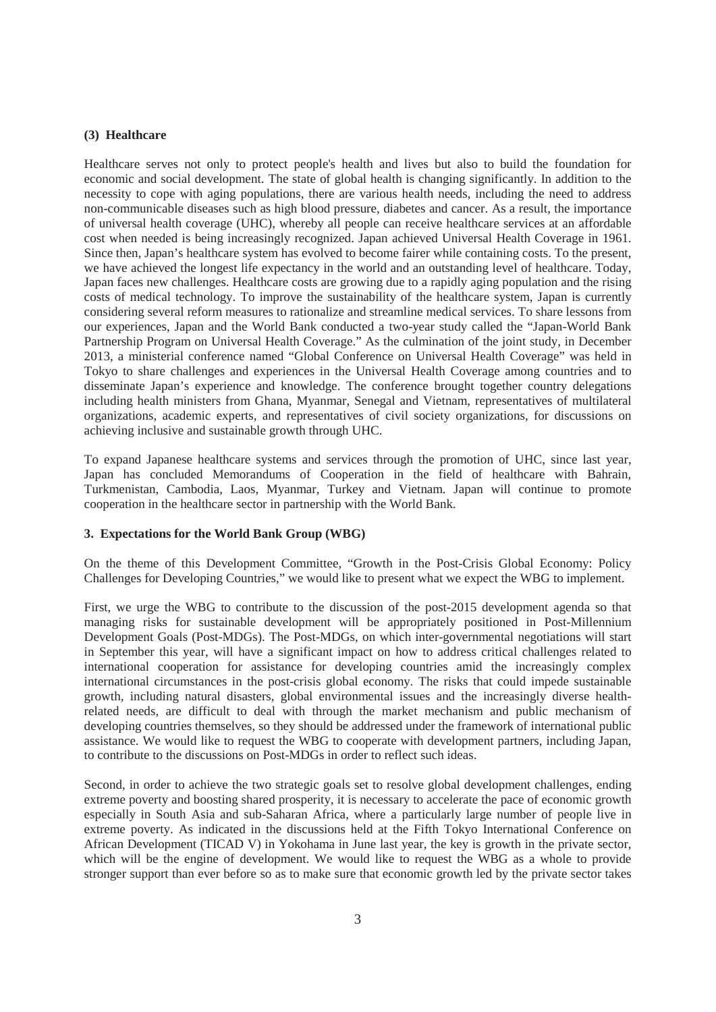#### **(3) Healthcare**

Healthcare serves not only to protect people's health and lives but also to build the foundation for economic and social development. The state of global health is changing significantly. In addition to the necessity to cope with aging populations, there are various health needs, including the need to address non-communicable diseases such as high blood pressure, diabetes and cancer. As a result, the importance of universal health coverage (UHC), whereby all people can receive healthcare services at an affordable cost when needed is being increasingly recognized. Japan achieved Universal Health Coverage in 1961. Since then, Japan's healthcare system has evolved to become fairer while containing costs. To the present, we have achieved the longest life expectancy in the world and an outstanding level of healthcare. Today, Japan faces new challenges. Healthcare costs are growing due to a rapidly aging population and the rising costs of medical technology. To improve the sustainability of the healthcare system, Japan is currently considering several reform measures to rationalize and streamline medical services. To share lessons from our experiences, Japan and the World Bank conducted a two-year study called the "Japan-World Bank Partnership Program on Universal Health Coverage." As the culmination of the joint study, in December 2013, a ministerial conference named "Global Conference on Universal Health Coverage" was held in Tokyo to share challenges and experiences in the Universal Health Coverage among countries and to disseminate Japan's experience and knowledge. The conference brought together country delegations including health ministers from Ghana, Myanmar, Senegal and Vietnam, representatives of multilateral organizations, academic experts, and representatives of civil society organizations, for discussions on achieving inclusive and sustainable growth through UHC.

To expand Japanese healthcare systems and services through the promotion of UHC, since last year, Japan has concluded Memorandums of Cooperation in the field of healthcare with Bahrain, Turkmenistan, Cambodia, Laos, Myanmar, Turkey and Vietnam. Japan will continue to promote cooperation in the healthcare sector in partnership with the World Bank.

#### **3. Expectations for the World Bank Group (WBG)**

On the theme of this Development Committee, "Growth in the Post-Crisis Global Economy: Policy Challenges for Developing Countries," we would like to present what we expect the WBG to implement.

First, we urge the WBG to contribute to the discussion of the post-2015 development agenda so that managing risks for sustainable development will be appropriately positioned in Post-Millennium Development Goals (Post-MDGs). The Post-MDGs, on which inter-governmental negotiations will start in September this year, will have a significant impact on how to address critical challenges related to international cooperation for assistance for developing countries amid the increasingly complex international circumstances in the post-crisis global economy. The risks that could impede sustainable growth, including natural disasters, global environmental issues and the increasingly diverse healthrelated needs, are difficult to deal with through the market mechanism and public mechanism of developing countries themselves, so they should be addressed under the framework of international public assistance. We would like to request the WBG to cooperate with development partners, including Japan, to contribute to the discussions on Post-MDGs in order to reflect such ideas.

Second, in order to achieve the two strategic goals set to resolve global development challenges, ending extreme poverty and boosting shared prosperity, it is necessary to accelerate the pace of economic growth especially in South Asia and sub-Saharan Africa, where a particularly large number of people live in extreme poverty. As indicated in the discussions held at the Fifth Tokyo International Conference on African Development (TICAD V) in Yokohama in June last year, the key is growth in the private sector, which will be the engine of development. We would like to request the WBG as a whole to provide stronger support than ever before so as to make sure that economic growth led by the private sector takes